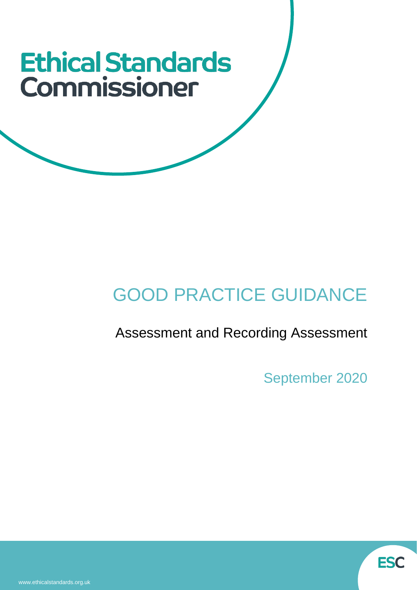# **Ethical Standards** Commissioner

# GOOD PRACTICE GUIDANCE

# Assessment and Recording Assessment

September 2020

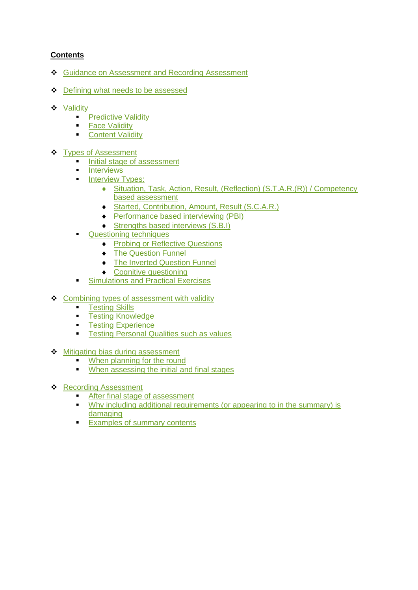# <span id="page-1-0"></span>**Contents**

- ❖ Guidance on Assessment [and Recording Assessment](#page-2-0)
- ❖ [Defining what needs to be assessed](#page-3-0)
- ❖ [Validity](#page-4-0)
	- **[Predictive Validity](#page-4-1)**
	- **Eace Validity**
	- [Content Validity](#page-5-1)
- ❖ [Types of Assessment](#page-5-2)
	- [Initial stage of assessment](#page-6-0)
	- [Interviews](#page-7-0)
		- **[Interview Types:](#page-9-0)** 
			- [Situation, Task, Action, Result, \(Reflection\) \(S.T.A.R.\(R\)\) / Competency](#page-9-0)  [based assessment](#page-9-0)
			- ◆ [Started, Contribution, Amount, Result \(S.C.A.R.\)](#page-10-0)
			- ◆ [Performance based interviewing \(PBI\)](#page-10-1)
			- ◆ [Strengths based interviews \(S.B.I\)](#page-11-0)
	- [Questioning techniques](#page-11-1)
		- ◆ [Probing or Reflective Questions](#page-11-2)
		- ◆ [The Question Funnel](#page-12-0)
		- ◆ [The Inverted Question Funnel](#page-12-1)
		- ◆ [Cognitive questioning](#page-13-0)
	- [Simulations and Practical Exercises](#page-14-0)
- ❖ [Combining types of assessment with validity](#page-15-0)
	- [Testing Skills](#page-15-1)
	- [Testing Knowledge](#page-16-0)
	- [Testing Experience](#page-16-1)
	- [Testing Personal Qualities such as values](#page-16-2)
- ❖ [Mitigating bias during assessment](#page-17-0)
	- [When planning for the round](#page-17-1)
	- [When assessing the initial and final stages](#page-18-0)
- ❖ [Recording Assessment](#page-18-1)
	- [After final stage of assessment](#page-19-0)
	- Why including additional requirements (or appearing to in the summary) is [damaging](#page-19-1)
	- [Examples of summary contents](#page-19-2)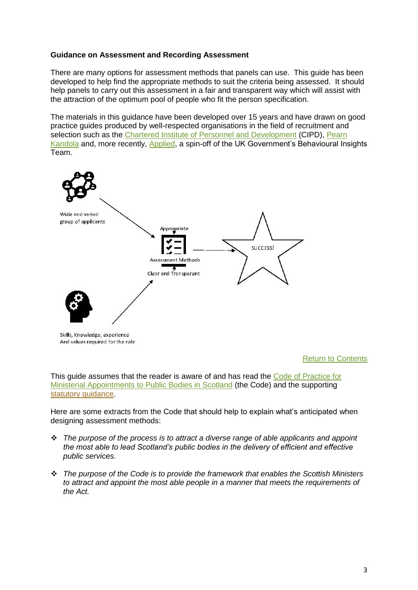# <span id="page-2-0"></span>**Guidance on Assessment and Recording Assessment**

There are many options for assessment methods that panels can use. This guide has been developed to help find the appropriate methods to suit the criteria being assessed. It should help panels to carry out this assessment in a fair and transparent way which will assist with the attraction of the optimum pool of people who fit the person specification.

The materials in this guidance have been developed over 15 years and have drawn on good practice guides produced by well-respected organisations in the field of recruitment and selection such as the [Chartered Institute of Personnel and Development](https://www.cipd.co.uk/) (CIPD), Pearn [Kandola](https://pearnkandola.com/) and, more recently, [Applied,](https://www.beapplied.com/) a spin-off of the UK Government's Behavioural Insights Team.



# [Return to](#page-1-0) Contents

This guide assumes that the reader is aware of and has read the [Code of Practice for](https://www.ethicalstandards.org.uk/publication/code-practice)  [Ministerial Appointments to Public Bodies in Scotland](https://www.ethicalstandards.org.uk/publication/code-practice) (the Code) and the supporting [statutory guidance.](https://www.ethicalstandards.org.uk/publication/revised-statutory-guidance-application-code-2020-version)

Here are some extracts from the Code that should help to explain what's anticipated when designing assessment methods:

- ❖ *The purpose of the process is to attract a diverse range of able applicants and appoint the most able to lead Scotland's public bodies in the delivery of efficient and effective public services.*
- ❖ *The purpose of the Code is to provide the framework that enables the Scottish Ministers to attract and appoint the most able people in a manner that meets the requirements of the Act.*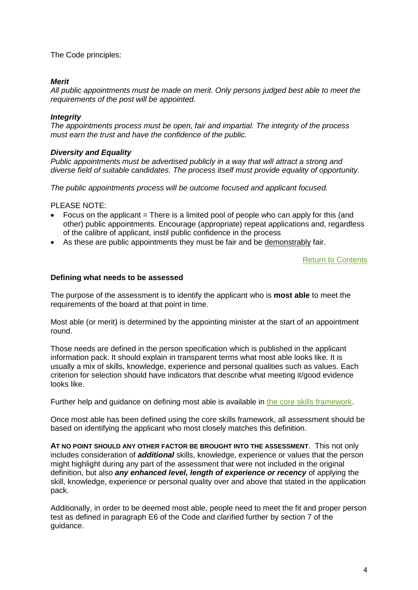The Code principles:

# *Merit*

*All public appointments must be made on merit. Only persons judged best able to meet the requirements of the post will be appointed.* 

# *Integrity*

*The appointments process must be open, fair and impartial. The integrity of the process must earn the trust and have the confidence of the public.*

# *Diversity and Equality*

*Public appointments must be advertised publicly in a way that will attract a strong and diverse field of suitable candidates. The process itself must provide equality of opportunity.* 

*The public appointments process will be outcome focused and applicant focused.*

PLEASE NOTE:

- Focus on the applicant  $=$  There is a limited pool of people who can apply for this (and other) public appointments. Encourage (appropriate) repeat applications and, regardless of the calibre of applicant, instil public confidence in the process
- As these are public appointments they must be fair and be demonstrably fair.

[Return to Contents](#page-1-0)

# <span id="page-3-0"></span>**Defining what needs to be assessed**

The purpose of the assessment is to identify the applicant who is **most able** to meet the requirements of the board at that point in time.

Most able (or merit) is determined by the appointing minister at the start of an appointment round.

Those needs are defined in the person specification which is published in the applicant information pack. It should explain in transparent terms what most able looks like. It is usually a mix of skills, knowledge, experience and personal qualities such as values. Each criterion for selection should have indicators that describe what meeting it/good evidence looks like.

Further help and guidance on defining most able is available in [the core skills framework.](https://www.ethicalstandards.org.uk/publication/core-skills-framework-chair-and-member-appointments)

Once most able has been defined using the core skills framework, all assessment should be based on identifying the applicant who most closely matches this definition.

**AT NO POINT SHOULD ANY OTHER FACTOR BE BROUGHT INTO THE ASSESSMENT**. This not only includes consideration of *additional* skills, knowledge, experience or values that the person might highlight during any part of the assessment that were not included in the original definition, but also *any enhanced level, length of experience or recency* of applying the skill, knowledge, experience or personal quality over and above that stated in the application pack.

Additionally, in order to be deemed most able, people need to meet the fit and proper person test as defined in paragraph E6 of the Code and clarified further by section 7 of the guidance.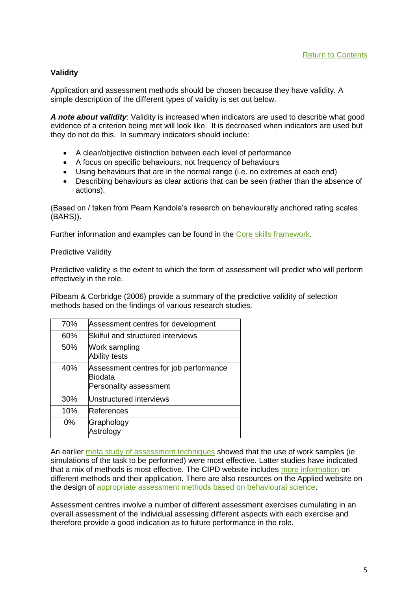# <span id="page-4-0"></span>**Validity**

Application and assessment methods should be chosen because they have validity. A simple description of the different types of validity is set out below.

*A note about validity*: Validity is increased when indicators are used to describe what good evidence of a criterion being met will look like. It is decreased when indicators are used but they do not do this. In summary indicators should include:

- A clear/objective distinction between each level of performance
- A focus on specific behaviours, not frequency of behaviours
- Using behaviours that are in the normal range (i.e. no extremes at each end)
- Describing behaviours as clear actions that can be seen (rather than the absence of actions).

(Based on / taken from Pearn Kandola's research on behaviourally anchored rating scales (BARS)).

Further information and examples can be found in the [Core skills framework.](https://www.ethicalstandards.org.uk/publication/core-skills-framework-chair-and-member-appointments)

<span id="page-4-1"></span>Predictive Validity

Predictive validity is the extent to which the form of assessment will predict who will perform effectively in the role.

Pilbeam & Corbridge (2006) provide a summary of the predictive validity of selection methods based on the findings of various research studies.

| 70%   | Assessment centres for development                                                 |
|-------|------------------------------------------------------------------------------------|
| 60%   | Skilful and structured interviews                                                  |
| 50%   | Work sampling<br><b>Ability tests</b>                                              |
| 40%   | Assessment centres for job performance<br><b>Biodata</b><br>Personality assessment |
| 30%   | Unstructured interviews                                                            |
| 10%   | References                                                                         |
| $0\%$ | Graphology<br>Astrology                                                            |

An earlier [meta study of assessment techniques](https://citeseerx.ist.psu.edu/viewdoc/download?doi=10.1.1.172.1733&rep=rep1&type=pdf) showed that the use of work samples (ie simulations of the task to be performed) were most effective. Latter studies have indicated that a mix of methods is most effective. The CIPD website includes [more information](https://www.cipd.co.uk/knowledge/fundamentals/people/recruitment/selection-factsheet) on different methods and their application. There are also resources on the Applied website on the design of [appropriate assessment methods based on behavioural science.](https://www.beapplied.com/resources)

Assessment centres involve a number of different assessment exercises cumulating in an overall assessment of the individual assessing different aspects with each exercise and therefore provide a good indication as to future performance in the role.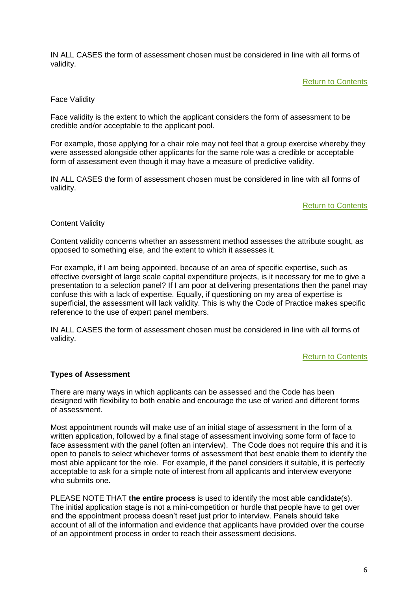IN ALL CASES the form of assessment chosen must be considered in line with all forms of validity.

[Return to Contents](#page-1-0)

# <span id="page-5-0"></span>Face Validity

Face validity is the extent to which the applicant considers the form of assessment to be credible and/or acceptable to the applicant pool.

For example, those applying for a chair role may not feel that a group exercise whereby they were assessed alongside other applicants for the same role was a credible or acceptable form of assessment even though it may have a measure of predictive validity.

IN ALL CASES the form of assessment chosen must be considered in line with all forms of validity.

# [Return to Contents](#page-1-0)

# <span id="page-5-1"></span>Content Validity

Content validity concerns whether an assessment method assesses the attribute sought, as opposed to something else, and the extent to which it assesses it.

For example, if I am being appointed, because of an area of specific expertise, such as effective oversight of large scale capital expenditure projects, is it necessary for me to give a presentation to a selection panel? If I am poor at delivering presentations then the panel may confuse this with a lack of expertise. Equally, if questioning on my area of expertise is superficial, the assessment will lack validity. This is why the Code of Practice makes specific reference to the use of expert panel members.

IN ALL CASES the form of assessment chosen must be considered in line with all forms of validity.

# [Return to Contents](#page-1-0)

# <span id="page-5-2"></span>**Types of Assessment**

There are many ways in which applicants can be assessed and the Code has been designed with flexibility to both enable and encourage the use of varied and different forms of assessment.

Most appointment rounds will make use of an initial stage of assessment in the form of a written application, followed by a final stage of assessment involving some form of face to face assessment with the panel (often an interview). The Code does not require this and it is open to panels to select whichever forms of assessment that best enable them to identify the most able applicant for the role. For example, if the panel considers it suitable, it is perfectly acceptable to ask for a simple note of interest from all applicants and interview everyone who submits one.

PLEASE NOTE THAT **the entire process** is used to identify the most able candidate(s). The initial application stage is not a mini-competition or hurdle that people have to get over and the appointment process doesn't reset just prior to interview. Panels should take account of all of the information and evidence that applicants have provided over the course of an appointment process in order to reach their assessment decisions.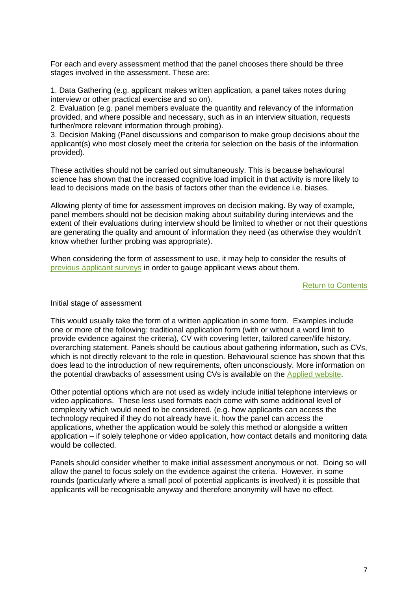For each and every assessment method that the panel chooses there should be three stages involved in the assessment. These are:

1. Data Gathering (e.g. applicant makes written application, a panel takes notes during interview or other practical exercise and so on).

2. Evaluation (e.g. panel members evaluate the quantity and relevancy of the information provided, and where possible and necessary, such as in an interview situation, requests further/more relevant information through probing).

3. Decision Making (Panel discussions and comparison to make group decisions about the applicant(s) who most closely meet the criteria for selection on the basis of the information provided).

These activities should not be carried out simultaneously. This is because behavioural science has shown that the increased cognitive load implicit in that activity is more likely to lead to decisions made on the basis of factors other than the evidence i.e. biases.

Allowing plenty of time for assessment improves on decision making. By way of example, panel members should not be decision making about suitability during interviews and the extent of their evaluations during interview should be limited to whether or not their questions are generating the quality and amount of information they need (as otherwise they wouldn't know whether further probing was appropriate).

When considering the form of assessment to use, it may help to consider the results of [previous applicant surveys](https://www.ethicalstandards.org.uk/publication/2018-applicant-research) in order to gauge applicant views about them.

#### [Return to Contents](#page-1-0)

<span id="page-6-0"></span>Initial stage of assessment

This would usually take the form of a written application in some form. Examples include one or more of the following: traditional application form (with or without a word limit to provide evidence against the criteria), CV with covering letter, tailored career/life history, overarching statement. Panels should be cautious about gathering information, such as CVs, which is not directly relevant to the role in question. Behavioural science has shown that this does lead to the introduction of new requirements, often unconsciously. More information on the potential drawbacks of assessment using CVs is available on the [Applied website.](https://www.beapplied.com/post/biased-broken-and-full-of-bullsh-t-the-case-for-killing-cvs-backed-by-science)

Other potential options which are not used as widely include initial telephone interviews or video applications. These less used formats each come with some additional level of complexity which would need to be considered. (e.g. how applicants can access the technology required if they do not already have it, how the panel can access the applications, whether the application would be solely this method or alongside a written application – if solely telephone or video application, how contact details and monitoring data would be collected.

Panels should consider whether to make initial assessment anonymous or not. Doing so will allow the panel to focus solely on the evidence against the criteria. However, in some rounds (particularly where a small pool of potential applicants is involved) it is possible that applicants will be recognisable anyway and therefore anonymity will have no effect.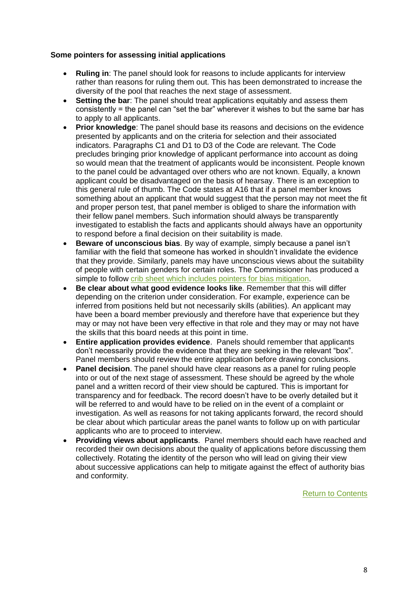# **Some pointers for assessing initial applications**

- **Ruling in**: The panel should look for reasons to include applicants for interview rather than reasons for ruling them out. This has been demonstrated to increase the diversity of the pool that reaches the next stage of assessment.
- **Setting the bar:** The panel should treat applications equitably and assess them consistently = the panel can "set the bar" wherever it wishes to but the same bar has to apply to all applicants.
- **Prior knowledge**: The panel should base its reasons and decisions on the evidence presented by applicants and on the criteria for selection and their associated indicators. Paragraphs C1 and D1 to D3 of the Code are relevant. The Code precludes bringing prior knowledge of applicant performance into account as doing so would mean that the treatment of applicants would be inconsistent. People known to the panel could be advantaged over others who are not known. Equally, a known applicant could be disadvantaged on the basis of hearsay. There is an exception to this general rule of thumb. The Code states at A16 that if a panel member knows something about an applicant that would suggest that the person may not meet the fit and proper person test, that panel member is obliged to share the information with their fellow panel members. Such information should always be transparently investigated to establish the facts and applicants should always have an opportunity to respond before a final decision on their suitability is made.
- **Beware of unconscious bias**. By way of example, simply because a panel isn't familiar with the field that someone has worked in shouldn't invalidate the evidence that they provide. Similarly, panels may have unconscious views about the suitability of people with certain genders for certain roles. The Commissioner has produced a simple to follow [crib sheet which includes pointers for bias mitigation.](https://www.ethicalstandards.org.uk/publication/how-mitigate-unconscious-and-other-forms-bias)
- **Be clear about what good evidence looks like**. Remember that this will differ depending on the criterion under consideration. For example, experience can be inferred from positions held but not necessarily skills (abilities). An applicant may have been a board member previously and therefore have that experience but they may or may not have been very effective in that role and they may or may not have the skills that this board needs at this point in time.
- **Entire application provides evidence**. Panels should remember that applicants don't necessarily provide the evidence that they are seeking in the relevant "box". Panel members should review the entire application before drawing conclusions.
- **Panel decision**. The panel should have clear reasons as a panel for ruling people into or out of the next stage of assessment. These should be agreed by the whole panel and a written record of their view should be captured. This is important for transparency and for feedback. The record doesn't have to be overly detailed but it will be referred to and would have to be relied on in the event of a complaint or investigation. As well as reasons for not taking applicants forward, the record should be clear about which particular areas the panel wants to follow up on with particular applicants who are to proceed to interview.
- <span id="page-7-0"></span>• **Providing views about applicants**. Panel members should each have reached and recorded their own decisions about the quality of applications before discussing them collectively. Rotating the identity of the person who will lead on giving their view about successive applications can help to mitigate against the effect of authority bias and conformity.

[Return to Contents](#page-1-0)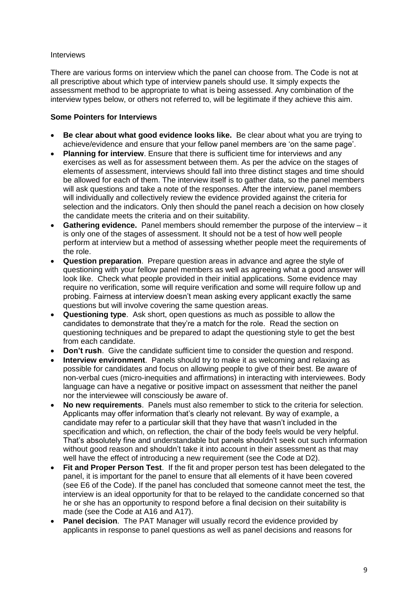# **Interviews**

There are various forms on interview which the panel can choose from. The Code is not at all prescriptive about which type of interview panels should use. It simply expects the assessment method to be appropriate to what is being assessed. Any combination of the interview types below, or others not referred to, will be legitimate if they achieve this aim.

# **Some Pointers for Interviews**

- **Be clear about what good evidence looks like.** Be clear about what you are trying to achieve/evidence and ensure that your fellow panel members are 'on the same page'.
- **Planning for interview.** Ensure that there is sufficient time for interviews and any exercises as well as for assessment between them. As per the advice on the stages of elements of assessment, interviews should fall into three distinct stages and time should be allowed for each of them. The interview itself is to gather data, so the panel members will ask questions and take a note of the responses. After the interview, panel members will individually and collectively review the evidence provided against the criteria for selection and the indicators. Only then should the panel reach a decision on how closely the candidate meets the criteria and on their suitability.
- **Gathering evidence.** Panel members should remember the purpose of the interview it is only one of the stages of assessment. It should not be a test of how well people perform at interview but a method of assessing whether people meet the requirements of the role.
- **Question preparation**. Prepare question areas in advance and agree the style of questioning with your fellow panel members as well as agreeing what a good answer will look like. Check what people provided in their initial applications. Some evidence may require no verification, some will require verification and some will require follow up and probing. Fairness at interview doesn't mean asking every applicant exactly the same questions but will involve covering the same question areas.
- **Questioning type**. Ask short, open questions as much as possible to allow the candidates to demonstrate that they're a match for the role. Read the section on questioning techniques and be prepared to adapt the questioning style to get the best from each candidate.
- **Don't rush**. Give the candidate sufficient time to consider the question and respond.
- **Interview environment**. Panels should try to make it as welcoming and relaxing as possible for candidates and focus on allowing people to give of their best. Be aware of non-verbal cues (micro-inequities and affirmations) in interacting with interviewees. Body language can have a negative or positive impact on assessment that neither the panel nor the interviewee will consciously be aware of.
- **No new requirements**. Panels must also remember to stick to the criteria for selection. Applicants may offer information that's clearly not relevant. By way of example, a candidate may refer to a particular skill that they have that wasn't included in the specification and which, on reflection, the chair of the body feels would be very helpful. That's absolutely fine and understandable but panels shouldn't seek out such information without good reason and shouldn't take it into account in their assessment as that may well have the effect of introducing a new requirement (see the Code at D2).
- **Fit and Proper Person Test**. If the fit and proper person test has been delegated to the panel, it is important for the panel to ensure that all elements of it have been covered (see E6 of the Code). If the panel has concluded that someone cannot meet the test, the interview is an ideal opportunity for that to be relayed to the candidate concerned so that he or she has an opportunity to respond before a final decision on their suitability is made (see the Code at A16 and A17).
- **Panel decision**. The PAT Manager will usually record the evidence provided by applicants in response to panel questions as well as panel decisions and reasons for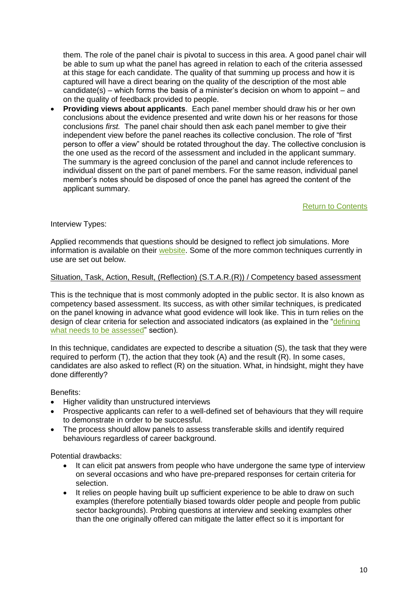them. The role of the panel chair is pivotal to success in this area. A good panel chair will be able to sum up what the panel has agreed in relation to each of the criteria assessed at this stage for each candidate. The quality of that summing up process and how it is captured will have a direct bearing on the quality of the description of the most able candidate(s) – which forms the basis of a minister's decision on whom to appoint – and on the quality of feedback provided to people.

• **Providing views about applicants**. Each panel member should draw his or her own conclusions about the evidence presented and write down his or her reasons for those conclusions *first.* The panel chair should then ask each panel member to give their independent view before the panel reaches its collective conclusion. The role of "first person to offer a view" should be rotated throughout the day. The collective conclusion is the one used as the record of the assessment and included in the applicant summary. The summary is the agreed conclusion of the panel and cannot include references to individual dissent on the part of panel members. For the same reason, individual panel member's notes should be disposed of once the panel has agreed the content of the applicant summary.

[Return to Contents](#page-1-0)

Interview Types:

Applied recommends that questions should be designed to reflect job simulations. More information is available on their [website.](https://www.beapplied.com/post/4-steps-to-creating-good-interview-questions?campaign=%22september%22%20%222020%22&utm_medium=email&_hsmi=95281359&_hsenc=p2ANqtz-8mCq0oTzuiWfUedNveKOE99A6qhTDznzPlTM6ZbYlyxOUNkcHIHn12A7Jlx4aTF7kJZvkw4ZIsA7gdVGHc7E9Tdt9FNgVi2m5xcwgGjPqYRQGj_yw&utm_content=95281359&utm_source=hs_email) Some of the more common techniques currently in use are set out below.

# <span id="page-9-0"></span>Situation, Task, Action, Result, (Reflection) (S.T.A.R.(R)) / Competency based assessment

This is the technique that is most commonly adopted in the public sector. It is also known as competency based assessment. Its success, as with other similar techniques, is predicated on the panel knowing in advance what good evidence will look like. This in turn relies on the design of clear criteria for selection and associated indicators (as explained in the "defining [what needs to be assessed"](#page-3-0) section).

In this technique, candidates are expected to describe a situation (S), the task that they were required to perform (T), the action that they took (A) and the result (R). In some cases, candidates are also asked to reflect (R) on the situation. What, in hindsight, might they have done differently?

Benefits:

- Higher validity than unstructured interviews
- Prospective applicants can refer to a well-defined set of behaviours that they will require to demonstrate in order to be successful.
- The process should allow panels to assess transferable skills and identify required behaviours regardless of career background.

Potential drawbacks:

- It can elicit pat answers from people who have undergone the same type of interview on several occasions and who have pre-prepared responses for certain criteria for selection.
- It relies on people having built up sufficient experience to be able to draw on such examples (therefore potentially biased towards older people and people from public sector backgrounds). Probing questions at interview and seeking examples other than the one originally offered can mitigate the latter effect so it is important for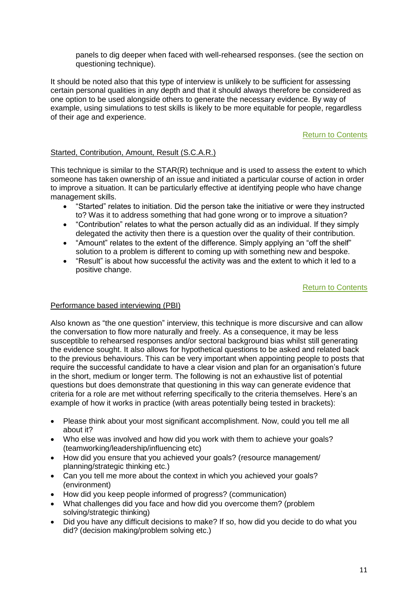panels to dig deeper when faced with well-rehearsed responses. (see the section on questioning technique).

It should be noted also that this type of interview is unlikely to be sufficient for assessing certain personal qualities in any depth and that it should always therefore be considered as one option to be used alongside others to generate the necessary evidence. By way of example, using simulations to test skills is likely to be more equitable for people, regardless of their age and experience.

# [Return to Contents](#page-1-0)

# <span id="page-10-0"></span>Started, Contribution, Amount, Result (S.C.A.R.)

This technique is similar to the STAR(R) technique and is used to assess the extent to which someone has taken ownership of an issue and initiated a particular course of action in order to improve a situation. It can be particularly effective at identifying people who have change management skills.

- "Started" relates to initiation. Did the person take the initiative or were they instructed to? Was it to address something that had gone wrong or to improve a situation?
- "Contribution" relates to what the person actually did as an individual. If they simply delegated the activity then there is a question over the quality of their contribution.
- "Amount" relates to the extent of the difference. Simply applying an "off the shelf" solution to a problem is different to coming up with something new and bespoke.
- "Result" is about how successful the activity was and the extent to which it led to a positive change.

[Return to Contents](#page-1-0)

# <span id="page-10-1"></span>Performance based interviewing (PBI)

Also known as "the one question" interview, this technique is more discursive and can allow the conversation to flow more naturally and freely. As a consequence, it may be less susceptible to rehearsed responses and/or sectoral background bias whilst still generating the evidence sought. It also allows for hypothetical questions to be asked and related back to the previous behaviours. This can be very important when appointing people to posts that require the successful candidate to have a clear vision and plan for an organisation's future in the short, medium or longer term. The following is not an exhaustive list of potential questions but does demonstrate that questioning in this way can generate evidence that criteria for a role are met without referring specifically to the criteria themselves. Here's an example of how it works in practice (with areas potentially being tested in brackets):

- Please think about your most significant accomplishment. Now, could you tell me all about it?
- Who else was involved and how did you work with them to achieve your goals? (teamworking/leadership/influencing etc)
- How did you ensure that you achieved your goals? (resource management/ planning/strategic thinking etc.)
- Can you tell me more about the context in which you achieved your goals? (environment)
- How did you keep people informed of progress? (communication)
- What challenges did you face and how did you overcome them? (problem solving/strategic thinking)
- Did you have any difficult decisions to make? If so, how did you decide to do what you did? (decision making/problem solving etc.)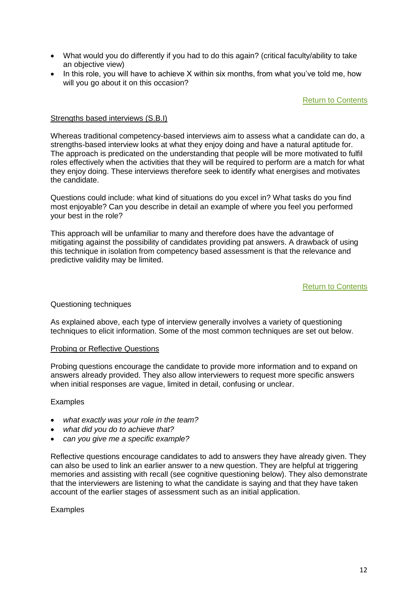- What would you do differently if you had to do this again? (critical faculty/ability to take an objective view)
- In this role, you will have to achieve X within six months, from what you've told me, how will you go about it on this occasion?

[Return to Contents](#page-1-0)

# <span id="page-11-0"></span>Strengths based interviews (S.B.I)

Whereas traditional competency-based interviews aim to assess what a candidate can do, a strengths-based interview looks at what they enjoy doing and have a natural aptitude for. The approach is predicated on the understanding that people will be more motivated to fulfil roles effectively when the activities that they will be required to perform are a match for what they enjoy doing. These interviews therefore seek to identify what energises and motivates the candidate.

Questions could include: what kind of situations do you excel in? What tasks do you find most enjoyable? Can you describe in detail an example of where you feel you performed your best in the role?

This approach will be unfamiliar to many and therefore does have the advantage of mitigating against the possibility of candidates providing pat answers. A drawback of using this technique in isolation from competency based assessment is that the relevance and predictive validity may be limited.

# [Return to Contents](#page-1-0)

# <span id="page-11-1"></span>Questioning techniques

As explained above, each type of interview generally involves a variety of questioning techniques to elicit information. Some of the most common techniques are set out below.

#### <span id="page-11-2"></span>Probing or Reflective Questions

Probing questions encourage the candidate to provide more information and to expand on answers already provided. They also allow interviewers to request more specific answers when initial responses are vague, limited in detail, confusing or unclear.

# Examples

- *what exactly was your role in the team?*
- *what did you do to achieve that?*
- *can you give me a specific example?*

Reflective questions encourage candidates to add to answers they have already given. They can also be used to link an earlier answer to a new question. They are helpful at triggering memories and assisting with recall (see cognitive questioning below). They also demonstrate that the interviewers are listening to what the candidate is saying and that they have taken account of the earlier stages of assessment such as an initial application.

# Examples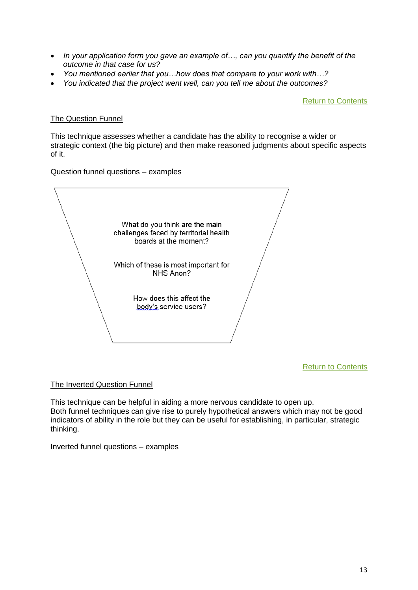- *In your application form you gave an example of…, can you quantify the benefit of the outcome in that case for us?*
- *You mentioned earlier that you…how does that compare to your work with…?*
- *You indicated that the project went well, can you tell me about the outcomes?*

[Return to Contents](#page-1-0)

# <span id="page-12-0"></span>The Question Funnel

This technique assesses whether a candidate has the ability to recognise a wider or strategic context (the big picture) and then make reasoned judgments about specific aspects of it.

Question funnel questions – examples

What do you think are the main challenges faced by territorial health boards at the moment? Which of these is most important for NHS Anon? How does this affect the body's service users?

[Return to Contents](#page-1-0)

# <span id="page-12-1"></span>The Inverted Question Funnel

This technique can be helpful in aiding a more nervous candidate to open up. Both funnel techniques can give rise to purely hypothetical answers which may not be good indicators of ability in the role but they can be useful for establishing, in particular, strategic thinking.

Inverted funnel questions – examples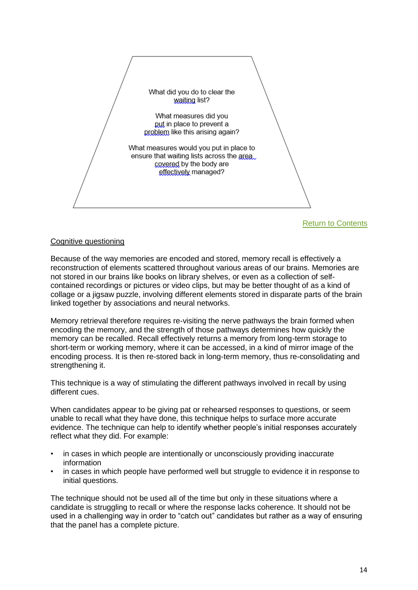

[Return to Contents](#page-1-0)

# <span id="page-13-0"></span>Cognitive questioning

Because of the way memories are encoded and stored, memory recall is effectively a reconstruction of elements scattered throughout various areas of our brains. Memories are not stored in our brains like books on library shelves, or even as a collection of selfcontained recordings or pictures or video clips, but may be better thought of as a kind of collage or a jigsaw puzzle, involving different elements stored in disparate parts of the brain linked together by associations and neural networks.

Memory retrieval therefore requires re-visiting the nerve pathways the brain formed when encoding the memory, and the strength of those pathways determines how quickly the memory can be recalled. Recall effectively returns a memory from long-term storage to short-term or working memory, where it can be accessed, in a kind of mirror image of the encoding process. It is then re-stored back in long-term memory, thus re-consolidating and strengthening it.

This technique is a way of stimulating the different pathways involved in recall by using different cues.

When candidates appear to be giving pat or rehearsed responses to questions, or seem unable to recall what they have done, this technique helps to surface more accurate evidence. The technique can help to identify whether people's initial responses accurately reflect what they did. For example:

- in cases in which people are intentionally or unconsciously providing inaccurate information
- in cases in which people have performed well but struggle to evidence it in response to initial questions.

The technique should not be used all of the time but only in these situations where a candidate is struggling to recall or where the response lacks coherence. It should not be used in a challenging way in order to "catch out" candidates but rather as a way of ensuring that the panel has a complete picture.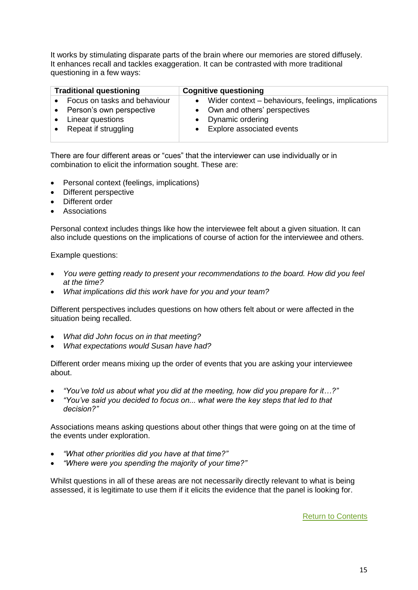It works by stimulating disparate parts of the brain where our memories are stored diffusely. It enhances recall and tackles exaggeration. It can be contrasted with more traditional questioning in a few ways:

| <b>Traditional questioning</b><br><b>Cognitive questioning</b>                     |  |
|------------------------------------------------------------------------------------|--|
| Focus on tasks and behaviour<br>Wider context – behaviours, feelings, implications |  |
| • Own and others' perspectives<br>Person's own perspective                         |  |
| Linear questions<br>Dynamic ordering                                               |  |
| <b>Explore associated events</b><br>Repeat if struggling                           |  |

There are four different areas or "cues" that the interviewer can use individually or in combination to elicit the information sought. These are:

- Personal context (feelings, implications)
- Different perspective
- Different order
- **Associations**

Personal context includes things like how the interviewee felt about a given situation. It can also include questions on the implications of course of action for the interviewee and others.

Example questions:

- *You were getting ready to present your recommendations to the board. How did you feel at the time?*
- *What implications did this work have for you and your team?*

Different perspectives includes questions on how others felt about or were affected in the situation being recalled.

- *What did John focus on in that meeting?*
- *What expectations would Susan have had?*

Different order means mixing up the order of events that you are asking your interviewee about.

- *"You've told us about what you did at the meeting, how did you prepare for it…?"*
- *"You've said you decided to focus on... what were the key steps that led to that decision?"*

Associations means asking questions about other things that were going on at the time of the events under exploration.

- *"What other priorities did you have at that time?"*
- *"Where were you spending the majority of your time?"*

<span id="page-14-0"></span>Whilst questions in all of these areas are not necessarily directly relevant to what is being assessed, it is legitimate to use them if it elicits the evidence that the panel is looking for.

[Return to Contents](#page-1-0)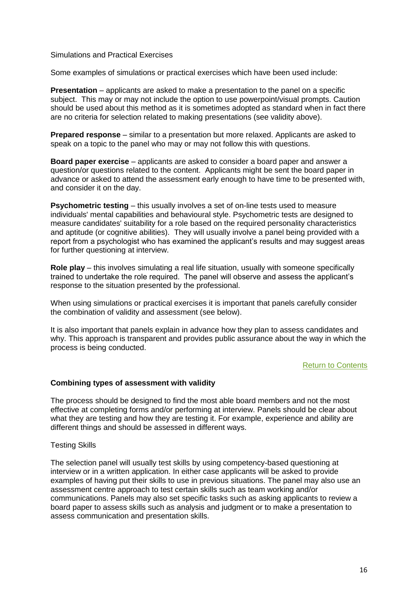# Simulations and Practical Exercises

Some examples of simulations or practical exercises which have been used include:

**Presentation** – applicants are asked to make a presentation to the panel on a specific subject. This may or may not include the option to use powerpoint/visual prompts. Caution should be used about this method as it is sometimes adopted as standard when in fact there are no criteria for selection related to making presentations (see validity above).

**Prepared response** – similar to a presentation but more relaxed. Applicants are asked to speak on a topic to the panel who may or may not follow this with questions.

**Board paper exercise** – applicants are asked to consider a board paper and answer a question/or questions related to the content. Applicants might be sent the board paper in advance or asked to attend the assessment early enough to have time to be presented with, and consider it on the day.

**Psychometric testing** – this usually involves a set of on-line tests used to measure individuals' mental capabilities and behavioural style. Psychometric tests are designed to measure candidates' suitability for a role based on the required personality characteristics and aptitude (or cognitive abilities). They will usually involve a panel being provided with a report from a psychologist who has examined the applicant's results and may suggest areas for further questioning at interview.

**Role play** – this involves simulating a real life situation, usually with someone specifically trained to undertake the role required. The panel will observe and assess the applicant's response to the situation presented by the professional.

When using simulations or practical exercises it is important that panels carefully consider the combination of validity and assessment (see below).

It is also important that panels explain in advance how they plan to assess candidates and why. This approach is transparent and provides public assurance about the way in which the process is being conducted.

# [Return to Contents](#page-1-0)

# <span id="page-15-0"></span>**Combining types of assessment with validity**

The process should be designed to find the most able board members and not the most effective at completing forms and/or performing at interview. Panels should be clear about what they are testing and how they are testing it. For example, experience and ability are different things and should be assessed in different ways.

# <span id="page-15-1"></span>Testing Skills

The selection panel will usually test skills by using competency-based questioning at interview or in a written application. In either case applicants will be asked to provide examples of having put their skills to use in previous situations. The panel may also use an assessment centre approach to test certain skills such as team working and/or communications. Panels may also set specific tasks such as asking applicants to review a board paper to assess skills such as analysis and judgment or to make a presentation to assess communication and presentation skills.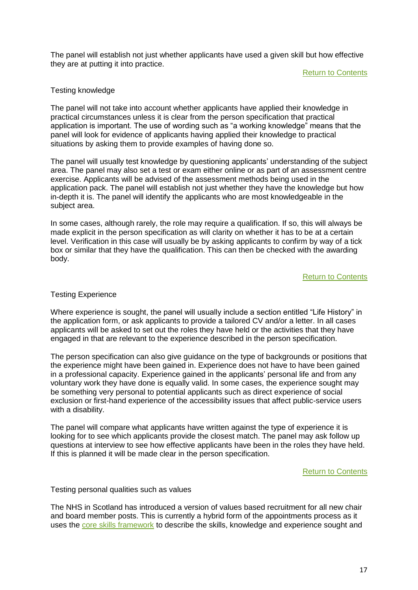The panel will establish not just whether applicants have used a given skill but how effective they are at putting it into practice.

[Return to Contents](#page-1-0)

# <span id="page-16-0"></span>Testing knowledge

The panel will not take into account whether applicants have applied their knowledge in practical circumstances unless it is clear from the person specification that practical application is important. The use of wording such as "a working knowledge" means that the panel will look for evidence of applicants having applied their knowledge to practical situations by asking them to provide examples of having done so.

The panel will usually test knowledge by questioning applicants' understanding of the subject area. The panel may also set a test or exam either online or as part of an assessment centre exercise. Applicants will be advised of the assessment methods being used in the application pack. The panel will establish not just whether they have the knowledge but how in-depth it is. The panel will identify the applicants who are most knowledgeable in the subject area.

In some cases, although rarely, the role may require a qualification. If so, this will always be made explicit in the person specification as will clarity on whether it has to be at a certain level. Verification in this case will usually be by asking applicants to confirm by way of a tick box or similar that they have the qualification. This can then be checked with the awarding body.

# [Return to Contents](#page-1-0)

# <span id="page-16-1"></span>Testing Experience

Where experience is sought, the panel will usually include a section entitled "Life History" in the application form, or ask applicants to provide a tailored CV and/or a letter. In all cases applicants will be asked to set out the roles they have held or the activities that they have engaged in that are relevant to the experience described in the person specification.

The person specification can also give guidance on the type of backgrounds or positions that the experience might have been gained in. Experience does not have to have been gained in a professional capacity. Experience gained in the applicants' personal life and from any voluntary work they have done is equally valid. In some cases, the experience sought may be something very personal to potential applicants such as direct experience of social exclusion or first-hand experience of the accessibility issues that affect public-service users with a disability.

The panel will compare what applicants have written against the type of experience it is looking for to see which applicants provide the closest match. The panel may ask follow up questions at interview to see how effective applicants have been in the roles they have held. If this is planned it will be made clear in the person specification.

# [Return to Contents](#page-1-0)

# <span id="page-16-2"></span>Testing personal qualities such as values

The NHS in Scotland has introduced a version of values based recruitment for all new chair and board member posts. This is currently a hybrid form of the appointments process as it uses the [core skills framework](https://commissioner.staging.civiccomputing.com/publication/core-skills-framework-chair-and-member-appointments) to describe the skills, knowledge and experience sought and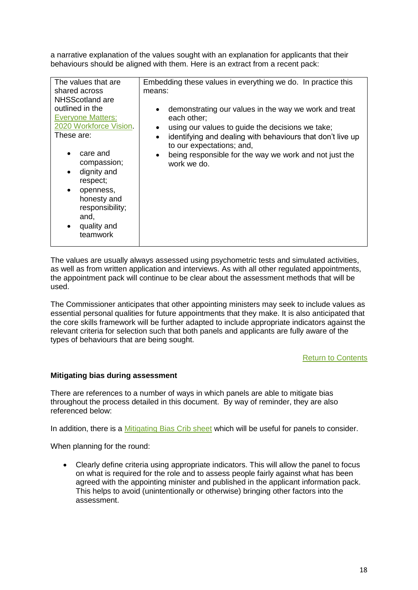a narrative explanation of the values sought with an explanation for applicants that their behaviours should be aligned with them. Here is an extract from a recent pack:

| The values that are<br>shared across                                                                                                 | Embedding these values in everything we do. In practice this<br>means:                                                                                                                                                        |
|--------------------------------------------------------------------------------------------------------------------------------------|-------------------------------------------------------------------------------------------------------------------------------------------------------------------------------------------------------------------------------|
| NHSScotland are                                                                                                                      |                                                                                                                                                                                                                               |
| outlined in the<br><b>Everyone Matters:</b><br>2020 Workforce Vision<br>These are:                                                   | demonstrating our values in the way we work and treat<br>$\bullet$<br>each other;<br>using our values to guide the decisions we take;<br>$\bullet$<br>identifying and dealing with behaviours that don't live up<br>$\bullet$ |
| care and<br>compassion;<br>dignity and<br>respect;<br>openness,<br>honesty and<br>responsibility;<br>and,<br>quality and<br>teamwork | to our expectations; and,<br>being responsible for the way we work and not just the<br>$\bullet$<br>work we do.                                                                                                               |

The values are usually always assessed using psychometric tests and simulated activities, as well as from written application and interviews. As with all other regulated appointments, the appointment pack will continue to be clear about the assessment methods that will be used.

The Commissioner anticipates that other appointing ministers may seek to include values as essential personal qualities for future appointments that they make. It is also anticipated that the core skills framework will be further adapted to include appropriate indicators against the relevant criteria for selection such that both panels and applicants are fully aware of the types of behaviours that are being sought.

# [Return to Contents](#page-1-0)

# <span id="page-17-0"></span>**Mitigating bias during assessment**

There are references to a number of ways in which panels are able to mitigate bias throughout the process detailed in this document. By way of reminder, they are also referenced below:

In addition, there is a [Mitigating Bias Crib sheet](https://www.ethicalstandards.org.uk/publication/how-mitigate-unconscious-and-other-forms-bias) which will be useful for panels to consider.

<span id="page-17-1"></span>When planning for the round:

• Clearly define criteria using appropriate indicators. This will allow the panel to focus on what is required for the role and to assess people fairly against what has been agreed with the appointing minister and published in the applicant information pack. This helps to avoid (unintentionally or otherwise) bringing other factors into the assessment.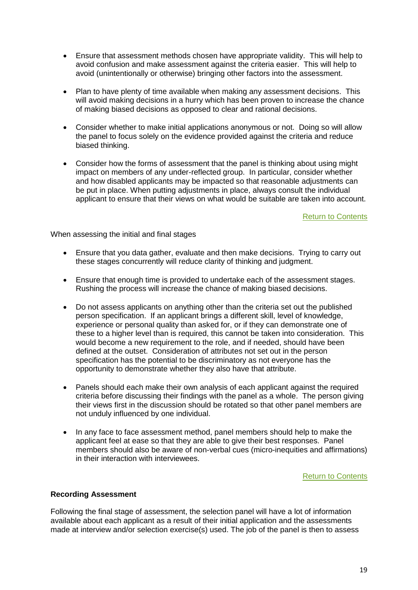- Ensure that assessment methods chosen have appropriate validity. This will help to avoid confusion and make assessment against the criteria easier. This will help to avoid (unintentionally or otherwise) bringing other factors into the assessment.
- Plan to have plenty of time available when making any assessment decisions. This will avoid making decisions in a hurry which has been proven to increase the chance of making biased decisions as opposed to clear and rational decisions.
- Consider whether to make initial applications anonymous or not. Doing so will allow the panel to focus solely on the evidence provided against the criteria and reduce biased thinking.
- Consider how the forms of assessment that the panel is thinking about using might impact on members of any under-reflected group. In particular, consider whether and how disabled applicants may be impacted so that reasonable adjustments can be put in place. When putting adjustments in place, always consult the individual applicant to ensure that their views on what would be suitable are taken into account.

[Return to Contents](#page-1-0)

<span id="page-18-0"></span>When assessing the initial and final stages

- Ensure that you data gather, evaluate and then make decisions. Trying to carry out these stages concurrently will reduce clarity of thinking and judgment.
- Ensure that enough time is provided to undertake each of the assessment stages. Rushing the process will increase the chance of making biased decisions.
- Do not assess applicants on anything other than the criteria set out the published person specification. If an applicant brings a different skill, level of knowledge, experience or personal quality than asked for, or if they can demonstrate one of these to a higher level than is required, this cannot be taken into consideration. This would become a new requirement to the role, and if needed, should have been defined at the outset. Consideration of attributes not set out in the person specification has the potential to be discriminatory as not everyone has the opportunity to demonstrate whether they also have that attribute.
- Panels should each make their own analysis of each applicant against the required criteria before discussing their findings with the panel as a whole. The person giving their views first in the discussion should be rotated so that other panel members are not unduly influenced by one individual.
- In any face to face assessment method, panel members should help to make the applicant feel at ease so that they are able to give their best responses. Panel members should also be aware of non-verbal cues (micro-inequities and affirmations) in their interaction with interviewees.

# [Return to Contents](#page-1-0)

# <span id="page-18-1"></span>**Recording Assessment**

Following the final stage of assessment, the selection panel will have a lot of information available about each applicant as a result of their initial application and the assessments made at interview and/or selection exercise(s) used. The job of the panel is then to assess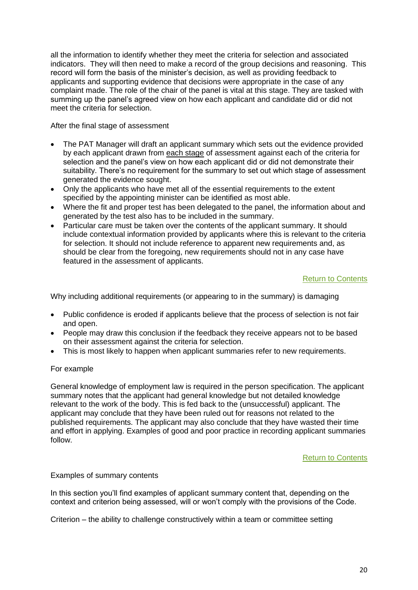all the information to identify whether they meet the criteria for selection and associated indicators. They will then need to make a record of the group decisions and reasoning. This record will form the basis of the minister's decision, as well as providing feedback to applicants and supporting evidence that decisions were appropriate in the case of any complaint made. The role of the chair of the panel is vital at this stage. They are tasked with summing up the panel's agreed view on how each applicant and candidate did or did not meet the criteria for selection.

<span id="page-19-0"></span>After the final stage of assessment

- The PAT Manager will draft an applicant summary which sets out the evidence provided by each applicant drawn from each stage of assessment against each of the criteria for selection and the panel's view on how each applicant did or did not demonstrate their suitability. There's no requirement for the summary to set out which stage of assessment generated the evidence sought.
- Only the applicants who have met all of the essential requirements to the extent specified by the appointing minister can be identified as most able.
- Where the fit and proper test has been delegated to the panel, the information about and generated by the test also has to be included in the summary.
- Particular care must be taken over the contents of the applicant summary. It should include contextual information provided by applicants where this is relevant to the criteria for selection. It should not include reference to apparent new requirements and, as should be clear from the foregoing, new requirements should not in any case have featured in the assessment of applicants.

# [Return to Contents](#page-1-0)

<span id="page-19-1"></span>Why including additional requirements (or appearing to in the summary) is damaging

- Public confidence is eroded if applicants believe that the process of selection is not fair and open.
- People may draw this conclusion if the feedback they receive appears not to be based on their assessment against the criteria for selection.
- This is most likely to happen when applicant summaries refer to new requirements.

# For example

General knowledge of employment law is required in the person specification. The applicant summary notes that the applicant had general knowledge but not detailed knowledge relevant to the work of the body. This is fed back to the (unsuccessful) applicant. The applicant may conclude that they have been ruled out for reasons not related to the published requirements. The applicant may also conclude that they have wasted their time and effort in applying. Examples of good and poor practice in recording applicant summaries follow.

# [Return to](#page-1-0) Contents

# <span id="page-19-2"></span>Examples of summary contents

In this section you'll find examples of applicant summary content that, depending on the context and criterion being assessed, will or won't comply with the provisions of the Code.

Criterion – the ability to challenge constructively within a team or committee setting